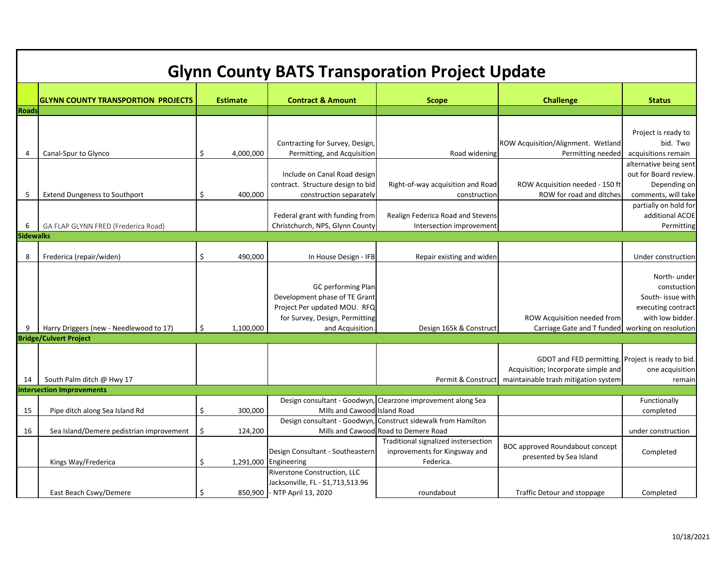| <b>Glynn County BATS Transporation Project Update</b> |                                           |    |                 |                                                                                                                                                  |                                                                                    |                                                                                          |                                                                                            |  |  |  |  |  |
|-------------------------------------------------------|-------------------------------------------|----|-----------------|--------------------------------------------------------------------------------------------------------------------------------------------------|------------------------------------------------------------------------------------|------------------------------------------------------------------------------------------|--------------------------------------------------------------------------------------------|--|--|--|--|--|
|                                                       | <b>GLYNN COUNTY TRANSPORTION PROJECTS</b> |    | <b>Estimate</b> | <b>Contract &amp; Amount</b>                                                                                                                     | <b>Scope</b>                                                                       | <b>Challenge</b>                                                                         | <b>Status</b>                                                                              |  |  |  |  |  |
| <b>Roads</b>                                          |                                           |    |                 |                                                                                                                                                  |                                                                                    |                                                                                          |                                                                                            |  |  |  |  |  |
|                                                       |                                           |    |                 |                                                                                                                                                  |                                                                                    |                                                                                          |                                                                                            |  |  |  |  |  |
|                                                       |                                           |    |                 |                                                                                                                                                  |                                                                                    |                                                                                          |                                                                                            |  |  |  |  |  |
|                                                       |                                           |    |                 |                                                                                                                                                  |                                                                                    |                                                                                          | Project is ready to                                                                        |  |  |  |  |  |
|                                                       |                                           |    |                 | Contracting for Survey, Design,                                                                                                                  |                                                                                    | ROW Acquisition/Alignment. Wetland                                                       | bid. Two                                                                                   |  |  |  |  |  |
| 4                                                     | Canal-Spur to Glynco                      | \$ | 4,000,000       | Permitting, and Acquisition                                                                                                                      | Road widening                                                                      | Permitting needed                                                                        | acquisitions remain                                                                        |  |  |  |  |  |
|                                                       |                                           |    |                 |                                                                                                                                                  |                                                                                    |                                                                                          | alternative being sent                                                                     |  |  |  |  |  |
|                                                       |                                           |    |                 | Include on Canal Road design                                                                                                                     |                                                                                    |                                                                                          | out for Board review.                                                                      |  |  |  |  |  |
|                                                       |                                           |    |                 | contract. Structure design to bid                                                                                                                | Right-of-way acquisition and Road                                                  | ROW Acquisition needed - 150 ft                                                          | Depending on                                                                               |  |  |  |  |  |
| 5                                                     | <b>Extend Dungeness to Southport</b>      | \$ | 400,000         | construction separately                                                                                                                          | construction                                                                       | ROW for road and ditches                                                                 | comments, will take                                                                        |  |  |  |  |  |
|                                                       |                                           |    |                 |                                                                                                                                                  |                                                                                    |                                                                                          | partially on hold for                                                                      |  |  |  |  |  |
|                                                       |                                           |    |                 | Federal grant with funding from                                                                                                                  | Realign Federica Road and Stevens                                                  |                                                                                          | additional ACOE                                                                            |  |  |  |  |  |
| 6                                                     | GA FLAP GLYNN FRED (Frederica Road)       |    |                 | Christchurch, NPS, Glynn County                                                                                                                  | Intersection improvement                                                           |                                                                                          | Permitting                                                                                 |  |  |  |  |  |
| <b>Sidewalks</b>                                      |                                           |    |                 |                                                                                                                                                  |                                                                                    |                                                                                          |                                                                                            |  |  |  |  |  |
|                                                       |                                           |    |                 |                                                                                                                                                  |                                                                                    |                                                                                          |                                                                                            |  |  |  |  |  |
| 8                                                     | Frederica (repair/widen)                  | \$ | 490,000         | In House Design - IFB                                                                                                                            | Repair existing and widen                                                          |                                                                                          | Under construction                                                                         |  |  |  |  |  |
| 9                                                     | Harry Driggers (new - Needlewood to 17)   | \$ | 1,100,000       | <b>GC</b> performing Plan<br>Development phase of TE Grant<br>Project Per updated MOU. RFQ<br>for Survey, Design, Permitting<br>and Acquisition. | Design 165k & Construct                                                            | ROW Acquisition needed from<br>Carriage Gate and T funded   working on resolution        | North- under<br>constuction<br>South- issue with<br>executing contract<br>with low bidder. |  |  |  |  |  |
|                                                       | <b>Bridge/Culvert Project</b>             |    |                 |                                                                                                                                                  |                                                                                    |                                                                                          |                                                                                            |  |  |  |  |  |
|                                                       |                                           |    |                 |                                                                                                                                                  |                                                                                    | GDOT and FED permitting. Project is ready to bid.<br>Acquisition; Incorporate simple and | one acquisition                                                                            |  |  |  |  |  |
| 14                                                    | South Palm ditch @ Hwy 17                 |    |                 |                                                                                                                                                  | Permit & Construct                                                                 | maintainable trash mitigation system                                                     | remain                                                                                     |  |  |  |  |  |
|                                                       | <b>Intersection Improvements</b>          |    |                 |                                                                                                                                                  |                                                                                    |                                                                                          |                                                                                            |  |  |  |  |  |
|                                                       |                                           |    |                 |                                                                                                                                                  | Design consultant - Goodwyn, Clearzone improvement along Sea                       |                                                                                          | Functionally                                                                               |  |  |  |  |  |
| 15                                                    | Pipe ditch along Sea Island Rd            | \$ | 300,000         | Mills and Cawood Island Road                                                                                                                     |                                                                                    |                                                                                          | completed                                                                                  |  |  |  |  |  |
|                                                       |                                           |    |                 |                                                                                                                                                  | Design consultant - Goodwyn, Construct sidewalk from Hamilton                      |                                                                                          |                                                                                            |  |  |  |  |  |
| 16                                                    | Sea Island/Demere pedistrian improvement  | \$ | 124,200         |                                                                                                                                                  | Mills and Cawood Road to Demere Road                                               |                                                                                          | under construction                                                                         |  |  |  |  |  |
|                                                       | Kings Way/Frederica                       | \$ |                 | Design Consultant - Southeastern<br>1,291,000 Engineering                                                                                        | Traditional signalized instersection<br>inprovements for Kingsway and<br>Federica. | <b>BOC approved Roundabout concept</b><br>presented by Sea Island                        | Completed                                                                                  |  |  |  |  |  |
|                                                       |                                           |    |                 | <b>Riverstone Construction, LLC</b><br>Jacksonville, FL - \$1,713,513.96                                                                         |                                                                                    |                                                                                          |                                                                                            |  |  |  |  |  |
|                                                       | East Beach Cswy/Demere                    | \$ |                 | 850,900 - NTP April 13, 2020                                                                                                                     | roundabout                                                                         | Traffic Detour and stoppage                                                              | Completed                                                                                  |  |  |  |  |  |